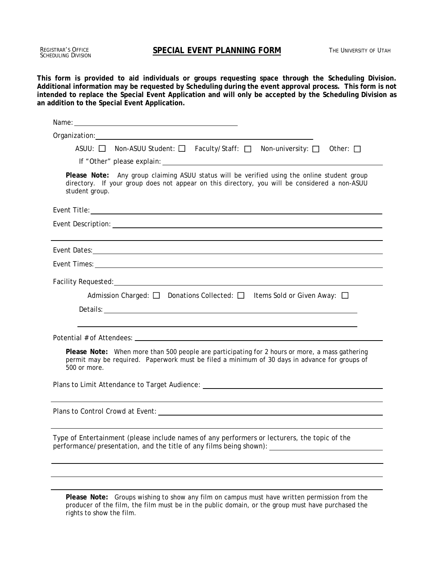Registrar's Office<br>Scheduling Division

**This form is provided to aid individuals or groups requesting space through the Scheduling Division. Additional information may be requested by Scheduling during the event approval process. This form is not intended to replace the Special Event Application and will only be accepted by the Scheduling Division as an addition to the Special Event Application.** 

| Name: $\frac{1}{2}$                                                                                                                                                                                                    |  |  |
|------------------------------------------------------------------------------------------------------------------------------------------------------------------------------------------------------------------------|--|--|
|                                                                                                                                                                                                                        |  |  |
| ASUU: $\Box$ Non-ASUU Student: $\Box$ Faculty/Staff: $\Box$ Non-university: $\Box$ Other: $\Box$                                                                                                                       |  |  |
|                                                                                                                                                                                                                        |  |  |
| Please Note: Any group claiming ASUU status will be verified using the online student group<br>directory. If your group does not appear on this directory, you will be considered a non-ASUU<br>student group.         |  |  |
|                                                                                                                                                                                                                        |  |  |
|                                                                                                                                                                                                                        |  |  |
|                                                                                                                                                                                                                        |  |  |
|                                                                                                                                                                                                                        |  |  |
|                                                                                                                                                                                                                        |  |  |
| Admission Charged: $\Box$ Donations Collected: $\Box$ Items Sold or Given Away: $\Box$                                                                                                                                 |  |  |
|                                                                                                                                                                                                                        |  |  |
|                                                                                                                                                                                                                        |  |  |
|                                                                                                                                                                                                                        |  |  |
| <b>Please Note:</b> When more than 500 people are participating for 2 hours or more, a mass gathering<br>permit may be required. Paperwork must be filed a minimum of 30 days in advance for groups of<br>500 or more. |  |  |
| Plans to Limit Attendance to Target Audience: __________________________________                                                                                                                                       |  |  |
|                                                                                                                                                                                                                        |  |  |
|                                                                                                                                                                                                                        |  |  |
| Type of Entertainment (please include names of any performers or lecturers, the topic of the<br>performance/presentation, and the title of any films being shown):                                                     |  |  |
|                                                                                                                                                                                                                        |  |  |
|                                                                                                                                                                                                                        |  |  |
|                                                                                                                                                                                                                        |  |  |

**Please Note:** Groups wishing to show any film on campus must have written permission from the producer of the film, the film must be in the public domain, or the group must have purchased the rights to show the film.